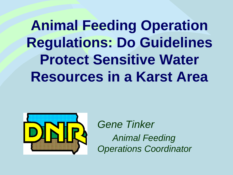**Animal Feeding Operation Regulations: Do Guidelines Protect Sensitive Water Resources in a Karst Area**



*Gene Tinker Animal Feeding Operations Coordinator*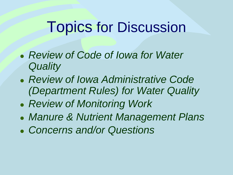## Topics for Discussion

- *Review of Code of Iowa for Water Quality*
- *Review of Iowa Administrative Code (Department Rules) for Water Quality*
- *Review of Monitoring Work*
- *Manure & Nutrient Management Plans*
- *Concerns and/or Questions*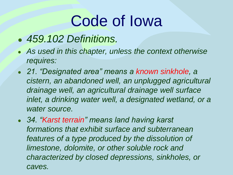- *459.102 Definitions.*
- *As used in this chapter, unless the context otherwise requires:*
- *21. "Designated area" means a known sinkhole, a cistern, an abandoned well, an unplugged agricultural drainage well, an agricultural drainage well surface*  inlet, a drinking water well, a designated wetland, or a *water source.*
- *34. "Karst terrain" means land having karst formations that exhibit surface and subterranean features of a type produced by the dissolution of limestone, dolomite, or other soluble rock and characterized by closed depressions, sinkholes, or caves.*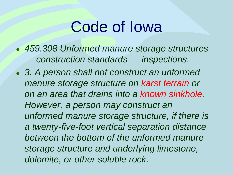- *459.308 Unformed manure storage structures — construction standards — inspections.*
- *3. A person shall not construct an unformed manure storage structure on karst terrain or on an area that drains into a known sinkhole. However, a person may construct an unformed manure storage structure, if there is a twenty-five-foot vertical separation distance between the bottom of the unformed manure storage structure and underlying limestone, dolomite, or other soluble rock.*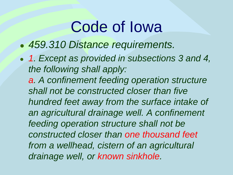- *459.310 Distance requirements.*
- *1. Except as provided in subsections 3 and 4, the following shall apply:* 
	- *a. A confinement feeding operation structure shall not be constructed closer than five hundred feet away from the surface intake of an agricultural drainage well. A confinement feeding operation structure shall not be constructed closer than one thousand feet from a wellhead, cistern of an agricultural drainage well, or known sinkhole.*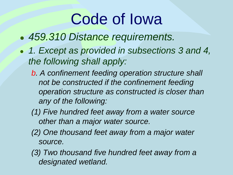- *459.310 Distance requirements.*
- *1. Except as provided in subsections 3 and 4, the following shall apply:* 
	- *b. A confinement feeding operation structure shall not be constructed if the confinement feeding operation structure as constructed is closer than any of the following:*
	- *(1) Five hundred feet away from a water source other than a major water source.*
	- *(2) One thousand feet away from a major water source.*
	- *(3) Two thousand five hundred feet away from a designated wetland.*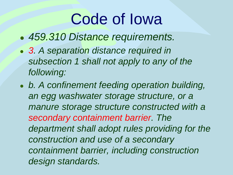- *459.310 Distance requirements.*
- *3. A separation distance required in subsection 1 shall not apply to any of the following:*
- *b. A confinement feeding operation building, an egg washwater storage structure, or a manure storage structure constructed with a secondary containment barrier. The department shall adopt rules providing for the construction and use of a secondary containment barrier, including construction design standards.*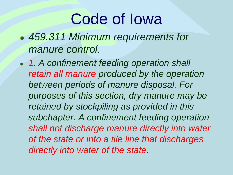- *459.311 Minimum requirements for manure control.*
- *1. A confinement feeding operation shall retain all manure produced by the operation between periods of manure disposal. For purposes of this section, dry manure may be retained by stockpiling as provided in this subchapter. A confinement feeding operation shall not discharge manure directly into water of the state or into a tile line that discharges directly into water of the state.*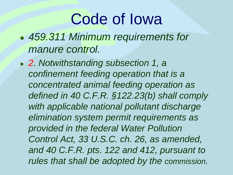- *459.311 Minimum requirements for manure control.*
- *2. Notwithstanding subsection 1, a confinement feeding operation that is a concentrated animal feeding operation as defined in 40 C.F.R. §122.23(b) shall comply with applicable national pollutant discharge elimination system permit requirements as provided in the federal Water Pollution Control Act, 33 U.S.C. ch. 26, as amended, and 40 C.F.R. pts. 122 and 412, pursuant to rules that shall be adopted by the commission.*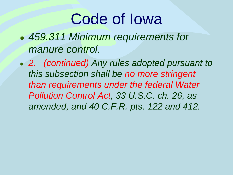- *459.311 Minimum requirements for manure control.*
- *2. (continued) Any rules adopted pursuant to this subsection shall be no more stringent than requirements under the federal Water Pollution Control Act, 33 U.S.C. ch. 26, as amended, and 40 C.F.R. pts. 122 and 412.*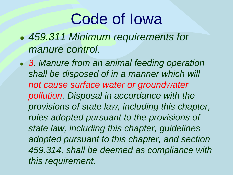- *459.311 Minimum requirements for manure control.*
- *3. Manure from an animal feeding operation shall be disposed of in a manner which will not cause surface water or groundwater pollution. Disposal in accordance with the provisions of state law, including this chapter, rules adopted pursuant to the provisions of state law, including this chapter, guidelines adopted pursuant to this chapter, and section 459.314, shall be deemed as compliance with this requirement.*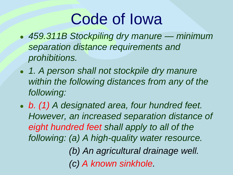- *459.311B Stockpiling dry manure — minimum separation distance requirements and prohibitions.*
- *1. A person shall not stockpile dry manure within the following distances from any of the following:*
- *b. (1) A designated area, four hundred feet. However, an increased separation distance of eight hundred feet shall apply to all of the following: (a) A high-quality water resource. (b) An agricultural drainage well.*

*(c) A known sinkhole.*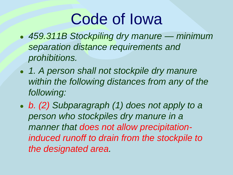- *459.311B Stockpiling dry manure — minimum separation distance requirements and prohibitions.*
- *1. A person shall not stockpile dry manure within the following distances from any of the following:*
- *b. (2) Subparagraph (1) does not apply to a person who stockpiles dry manure in a manner that does not allow precipitationinduced runoff to drain from the stockpile to the designated area.*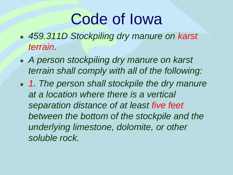- *459.311D Stockpiling dry manure on karst terrain.*
- *A person stockpiling dry manure on karst terrain shall comply with all of the following:*
- *1. The person shall stockpile the dry manure at a location where there is a vertical separation distance of at least five feet between the bottom of the stockpile and the underlying limestone, dolomite, or other soluble rock.*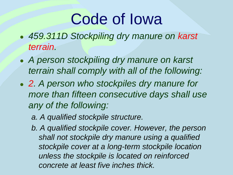- *459.311D Stockpiling dry manure on karst terrain.*
- *A person stockpiling dry manure on karst terrain shall comply with all of the following:*
- *2. A person who stockpiles dry manure for more than fifteen consecutive days shall use any of the following:*
	- *a. A qualified stockpile structure.*
	- *b. A qualified stockpile cover. However, the person shall not stockpile dry manure using a qualified stockpile cover at a long-term stockpile location unless the stockpile is located on reinforced concrete at least five inches thick.*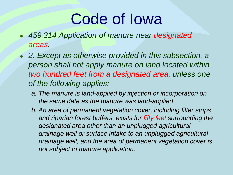- *459.314 Application of manure near designated areas.*
- *2. Except as otherwise provided in this subsection, a person shall not apply manure on land located within two hundred feet from a designated area, unless one of the following applies:*
	- *a. The manure is land-applied by injection or incorporation on the same date as the manure was land-applied.*
	- *b. An area of permanent vegetation cover, including filter strips and riparian forest buffers, exists for fifty feet surrounding the designated area other than an unplugged agricultural drainage well or surface intake to an unplugged agricultural drainage well, and the area of permanent vegetation cover is not subject to manure application.*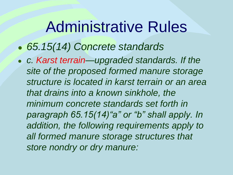- *65.15(14) Concrete standards*
- *c. Karst terrain—upgraded standards. If the site of the proposed formed manure storage structure is located in karst terrain or an area that drains into a known sinkhole, the minimum concrete standards set forth in paragraph 65.15(14)"a" or "b" shall apply. In addition, the following requirements apply to all formed manure storage structures that store nondry or dry manure:*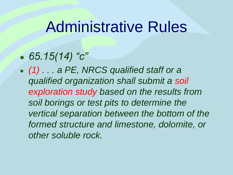- *65.15(14) "c"*
- *(1) . . . a PE, NRCS qualified staff or a qualified organization shall submit a soil exploration study based on the results from soil borings or test pits to determine the vertical separation between the bottom of the formed structure and limestone, dolomite, or other soluble rock.*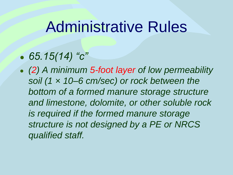#### ● *65.15(14) "c"*

*(2) A minimum 5-foot layer of low permeability soil (1 × 10–6 cm/sec) or rock between the bottom of a formed manure storage structure and limestone, dolomite, or other soluble rock is required if the formed manure storage structure is not designed by a PE or NRCS qualified staff.*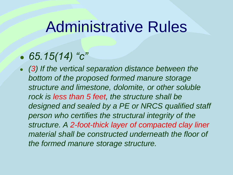#### ● *65.15(14) "c"*

**(3)** If the vertical separation distance between the *bottom of the proposed formed manure storage structure and limestone, dolomite, or other soluble rock is less than 5 feet, the structure shall be designed and sealed by a PE or NRCS qualified staff person who certifies the structural integrity of the structure. A 2-foot-thick layer of compacted clay liner material shall be constructed underneath the floor of the formed manure storage structure.*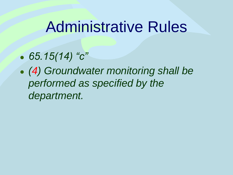- *65.15(14) "c"*
- *(4) Groundwater monitoring shall be performed as specified by the department.*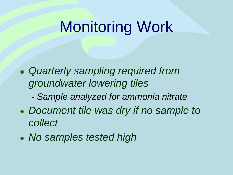## Monitoring Work

- *Quarterly sampling required from groundwater lowering tiles*
	- *- Sample analyzed for ammonia nitrate*
- *Document tile was dry if no sample to collect*
- *No samples tested high*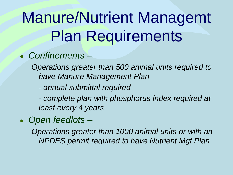# Manure/Nutrient Managemt Plan Requirements

#### ● *Confinements –*

*Operations greater than 500 animal units required to have Manure Management Plan*

*- annual submittal required*

*- complete plan with phosphorus index required at least every 4 years*

● *Open feedlots –*

*Operations greater than 1000 animal units or with an NPDES permit required to have Nutrient Mgt Plan*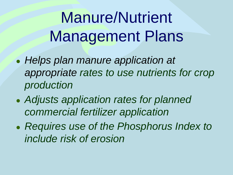Manure/Nutrient Management Plans

- *Helps plan manure application at appropriate rates to use nutrients for crop production*
- *Adjusts application rates for planned commercial fertilizer application*
- *Requires use of the Phosphorus Index to include risk of erosion*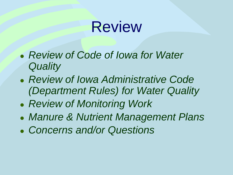## Review

- *Review of Code of Iowa for Water Quality*
- *Review of Iowa Administrative Code (Department Rules) for Water Quality*
- *Review of Monitoring Work*
- *Manure & Nutrient Management Plans*
- *Concerns and/or Questions*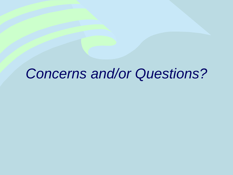#### *Concerns and/or Questions?*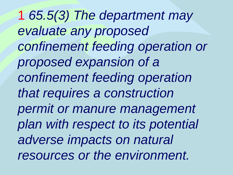1 *65.5(3) The department may evaluate any proposed confinement feeding operation or proposed expansion of a confinement feeding operation that requires a construction permit or manure management plan with respect to its potential adverse impacts on natural resources or the environment.*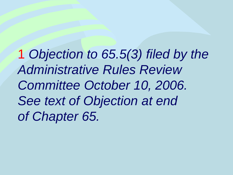1 *Objection to 65.5(3) filed by the Administrative Rules Review Committee October 10, 2006. See text of Objection at end of Chapter 65.*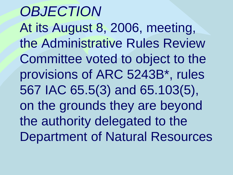*OBJECTION* At its August 8, 2006, meeting, the Administrative Rules Review Committee voted to object to the provisions of ARC 5243B\*, rules 567 IAC 65.5(3) and 65.103(5), on the grounds they are beyond the authority delegated to the Department of Natural Resources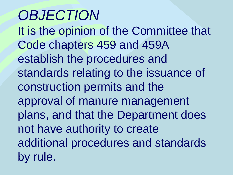## *OBJECTION*

It is the opinion of the Committee that Code chapters 459 and 459A establish the procedures and standards relating to the issuance of construction permits and the approval of manure management plans, and that the Department does not have authority to create additional procedures and standards by rule.